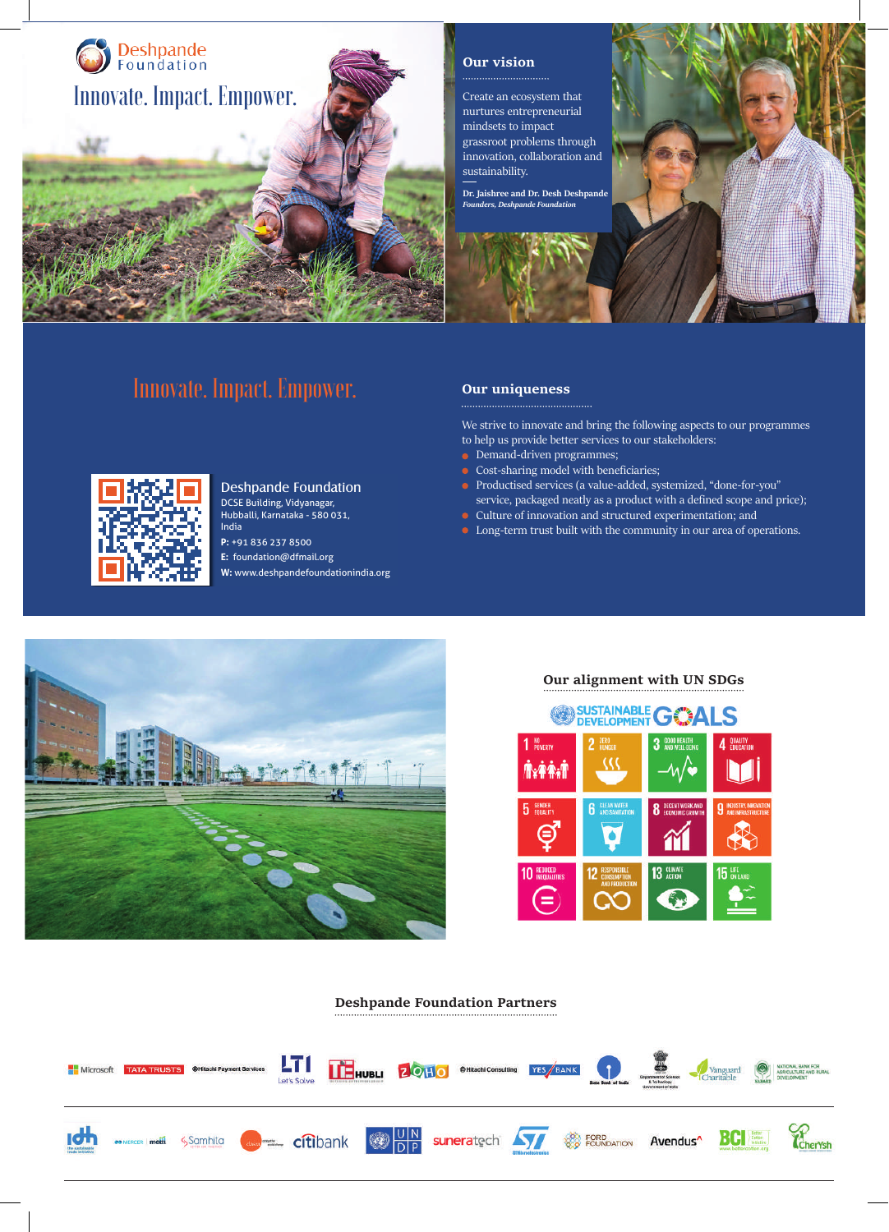

### **Our vision**

Create an ecosystem that nurtures entrepreneurial mindsets to impact grassroot problems through innovation, collaboration and sustainability.

**Dr. Jaishree and Dr. Desh Deshpand** *Founders, Deshpande Foundation*



# Innovate. Impact. Empower.

1

i.

Innovate. Impact. Empower.

Deshpande Foundation DCSE Building, Vidyanagar, Hubballi, Karnataka - 580 031,

India **P:** +91 836 237 8500 **E:** foundation@dfmail.org **W:** www.deshpandefoundationindia.org

#### **Our uniqueness**

We strive to innovate and bring the following aspects to our programmes to help us provide better services to our stakeholders:

- Demand-driven programmes;
- Cost-sharing model with beneficiaries;
- Productised services (a value-added, systemized, "done-for-you" service, packaged neatly as a product with a defined scope and price);
- $\bullet~$  Culture of innovation and structured experimentation; and
- **•** Long-term trust built with the community in our area of operations.



## **Our alignment with UN SDGs**



#### **Deshpande Foundation Partners**